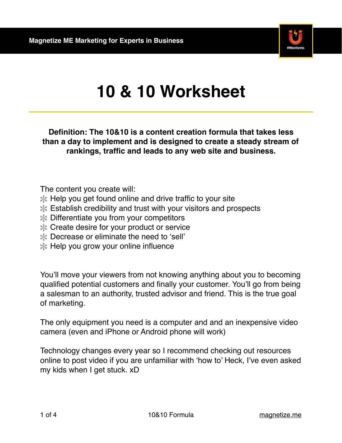

## **10 & 10 Worksheet**

**Definition: The 10&10 is a content creation formula that takes less than a day to implement and is designed to create a steady stream of rankings, traffic and leads to any web site and business.**

The content you create will:

- $\mathbb{\ast}$  Help you get found online and drive traffic to your site
- Establish credibility and trust with your visitors and prospects
- Differentiate you from your competitors
- **X** Create desire for your product or service
- Decrease or eliminate the need to 'sell'
- $\mathbb{\ast}$  Help you grow your online influence

You'll move your viewers from not knowing anything about you to becoming qualified potential customers and finally your customer. You'll go from being a salesman to an authority, trusted advisor and friend. This is the true goal of marketing.

The only equipment you need is a computer and and an inexpensive video camera (even and iPhone or Android phone will work)

Technology changes every year so I recommend checking out resources online to post video if you are unfamiliar with 'how to' Heck, I've even asked my kids when I get stuck. xD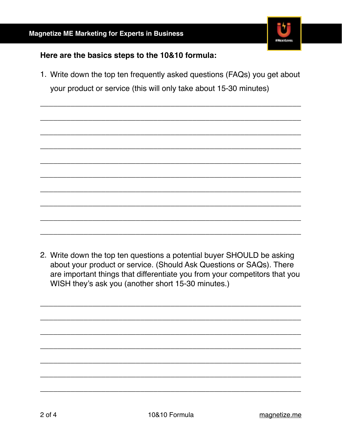

## Here are the basics steps to the 10&10 formula:

1. Write down the top ten frequently asked questions (FAQs) you get about your product or service (this will only take about 15-30 minutes)

2. Write down the top ten questions a potential buyer SHOULD be asking about your product or service. (Should Ask Questions or SAQs). There are important things that differentiate you from your competitors that you WISH they's ask you (another short 15-30 minutes.)

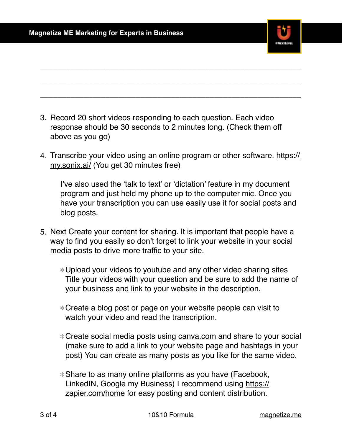

- 3. Record 20 short videos responding to each question. Each video response should be 30 seconds to 2 minutes long. (Check them off above as you go)
- 4. [Transcribe your video using an online program or other software. https://](https://my.sonix.ai/) my.sonix.ai/ (You get 30 minutes free)

\_\_\_\_\_\_\_\_\_\_\_\_\_\_\_\_\_\_\_\_\_\_\_\_\_\_\_\_\_\_\_\_\_\_\_\_\_\_\_\_\_\_\_\_\_\_\_\_\_\_\_\_\_\_\_\_\_\_\_\_

\_\_\_\_\_\_\_\_\_\_\_\_\_\_\_\_\_\_\_\_\_\_\_\_\_\_\_\_\_\_\_\_\_\_\_\_\_\_\_\_\_\_\_\_\_\_\_\_\_\_\_\_\_\_\_\_\_\_\_\_

\_\_\_\_\_\_\_\_\_\_\_\_\_\_\_\_\_\_\_\_\_\_\_\_\_\_\_\_\_\_\_\_\_\_\_\_\_\_\_\_\_\_\_\_\_\_\_\_\_\_\_\_\_\_\_\_\_\_\_\_

I've also used the 'talk to text' or 'dictation' feature in my document program and just held my phone up to the computer mic. Once you have your transcription you can use easily use it for social posts and blog posts.

- 5. Next Create your content for sharing. It is important that people have a way to find you easily so don't forget to link your website in your social media posts to drive more traffic to your site.
	- Upload your videos to youtube and any other video sharing sites Title your videos with your question and be sure to add the name of your business and link to your website in the description.
	- Create a blog post or page on your website people can visit to watch your video and read the transcription.
	- Create social media posts using [canva.com](http://canva.com) and share to your social (make sure to add a link to your website page and hashtags in your post) You can create as many posts as you like for the same video.
	- Share to as many online platforms as you have (Facebook, [LinkedIN, Google my Business\) I recommend using https://](https://zapier.com/home) zapier.com/home for easy posting and content distribution.